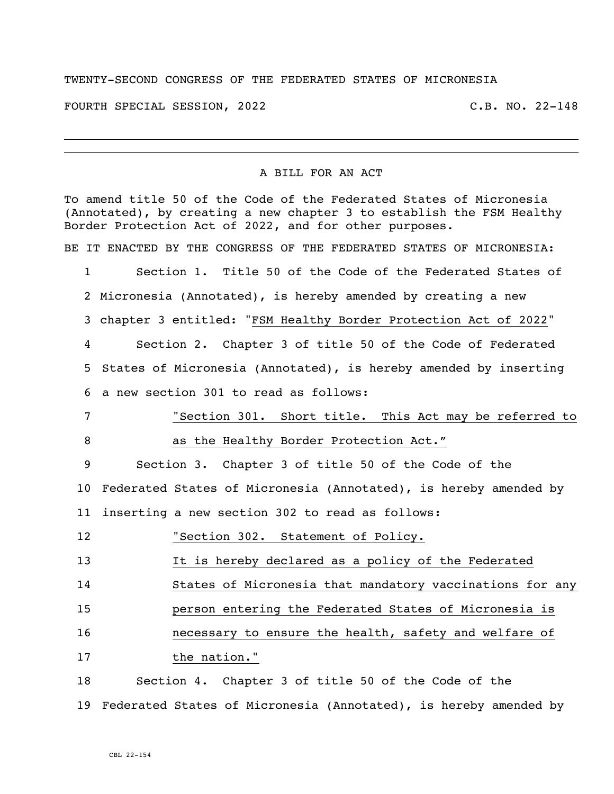## TWENTY-SECOND CONGRESS OF THE FEDERATED STATES OF MICRONESIA

FOURTH SPECIAL SESSION, 2022 C.B. NO. 22-148

## A BILL FOR AN ACT

To amend title 50 of the Code of the Federated States of Micronesia (Annotated), by creating a new chapter 3 to establish the FSM Healthy Border Protection Act of 2022, and for other purposes. BE IT ENACTED BY THE CONGRESS OF THE FEDERATED STATES OF MICRONESIA: Section 1. Title 50 of the Code of the Federated States of Micronesia (Annotated), is hereby amended by creating a new chapter 3 entitled: "FSM Healthy Border Protection Act of 2022" Section 2. Chapter 3 of title 50 of the Code of Federated States of Micronesia (Annotated), is hereby amended by inserting a new section 301 to read as follows: "Section 301. Short title. This Act may be referred to 8 as the Healthy Border Protection Act." Section 3. Chapter 3 of title 50 of the Code of the Federated States of Micronesia (Annotated), is hereby amended by inserting a new section 302 to read as follows: "Section 302. Statement of Policy. 13 It is hereby declared as a policy of the Federated States of Micronesia that mandatory vaccinations for any person entering the Federated States of Micronesia is necessary to ensure the health, safety and welfare of the nation." Section 4. Chapter 3 of title 50 of the Code of the Federated States of Micronesia (Annotated), is hereby amended by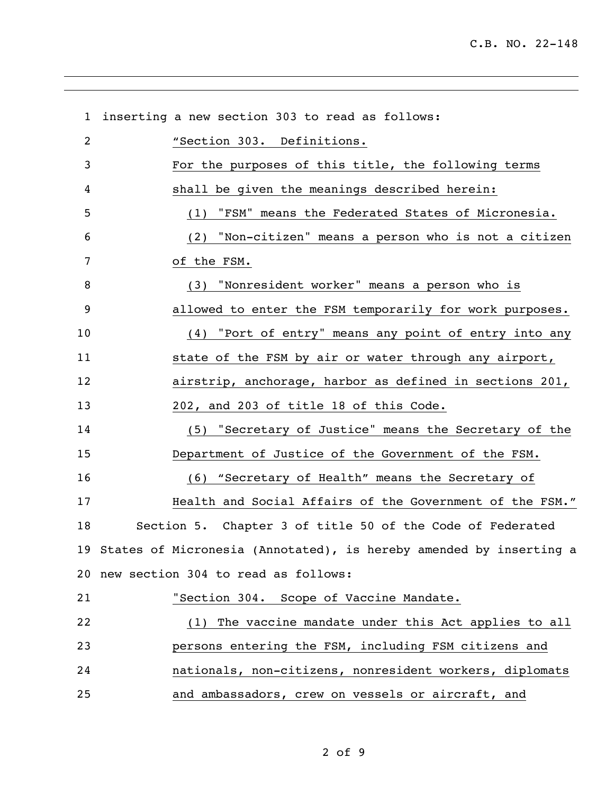| $\mathbf{1}$   | inserting a new section 303 to read as follows:                       |  |
|----------------|-----------------------------------------------------------------------|--|
| $\overline{2}$ | "Section 303. Definitions.                                            |  |
| 3              | For the purposes of this title, the following terms                   |  |
| 4              | shall be given the meanings described herein:                         |  |
| 5              | "FSM" means the Federated States of Micronesia.<br>(1)                |  |
| 6              | (2) "Non-citizen" means a person who is not a citizen                 |  |
| 7              | of the FSM.                                                           |  |
| 8              | (3) "Nonresident worker" means a person who is                        |  |
| 9              | allowed to enter the FSM temporarily for work purposes.               |  |
| 10             | (4) "Port of entry" means any point of entry into any                 |  |
| 11             | state of the FSM by air or water through any airport,                 |  |
| 12             | airstrip, anchorage, harbor as defined in sections 201,               |  |
| 13             | 202, and 203 of title 18 of this Code.                                |  |
| 14             | (5) "Secretary of Justice" means the Secretary of the                 |  |
| 15             | Department of Justice of the Government of the FSM.                   |  |
| 16             | (6) "Secretary of Health" means the Secretary of                      |  |
| 17             | Health and Social Affairs of the Government of the FSM."              |  |
| 18             | Section 5. Chapter 3 of title 50 of the Code of Federated             |  |
|                | 19 States of Micronesia (Annotated), is hereby amended by inserting a |  |
|                | 20 new section 304 to read as follows:                                |  |
| 21             | "Section 304. Scope of Vaccine Mandate.                               |  |
| 22             | (1) The vaccine mandate under this Act applies to all                 |  |
| 23             | persons entering the FSM, including FSM citizens and                  |  |
| 24             | nationals, non-citizens, nonresident workers, diplomats               |  |
| 25             | and ambassadors, crew on vessels or aircraft, and                     |  |

of 9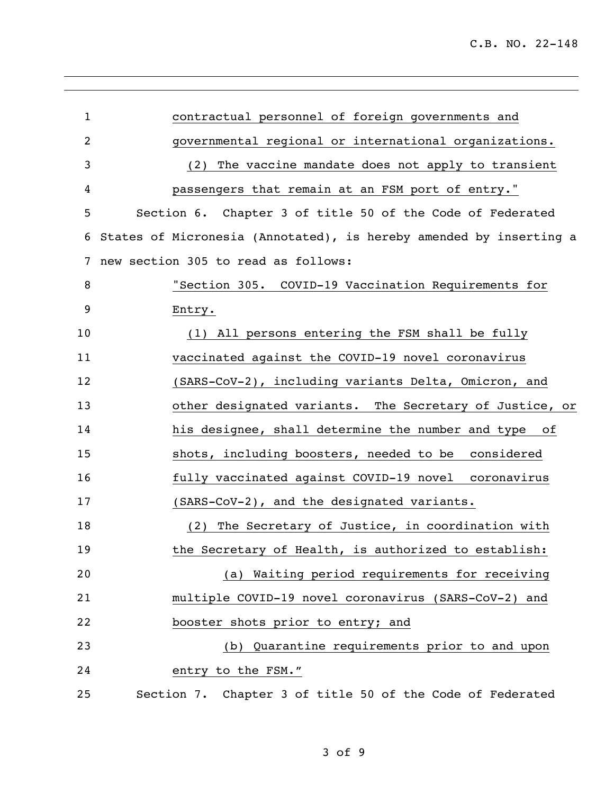| $\mathbf 1$    | contractual personnel of foreign governments and                   |  |  |  |
|----------------|--------------------------------------------------------------------|--|--|--|
| $\overline{2}$ | governmental regional or international organizations.              |  |  |  |
| 3              | The vaccine mandate does not apply to transient<br>(2)             |  |  |  |
| 4              | passengers that remain at an FSM port of entry."                   |  |  |  |
| 5              | Section 6. Chapter 3 of title 50 of the Code of Federated          |  |  |  |
| 6              | States of Micronesia (Annotated), is hereby amended by inserting a |  |  |  |
| 7              | new section 305 to read as follows:                                |  |  |  |
| 8              | "Section 305. COVID-19 Vaccination Requirements for                |  |  |  |
| 9              | Entry.                                                             |  |  |  |
| 10             | (1) All persons entering the FSM shall be fully                    |  |  |  |
| 11             | vaccinated against the COVID-19 novel coronavirus                  |  |  |  |
| 12             | (SARS-CoV-2), including variants Delta, Omicron, and               |  |  |  |
| 13             | other designated variants. The Secretary of Justice, or            |  |  |  |
| 14             | his designee, shall determine the number and type of               |  |  |  |
| 15             | shots, including boosters, needed to be considered                 |  |  |  |
| 16             | fully vaccinated against COVID-19 novel coronavirus                |  |  |  |
| 17             | (SARS-CoV-2), and the designated variants.                         |  |  |  |
| 18             | The Secretary of Justice, in coordination with<br>(2)              |  |  |  |
| 19             | the Secretary of Health, is authorized to establish:               |  |  |  |
| 20             | (a) Waiting period requirements for receiving                      |  |  |  |
| 21             | multiple COVID-19 novel coronavirus (SARS-CoV-2) and               |  |  |  |
| 22             | booster shots prior to entry; and                                  |  |  |  |
| 23             | (b) Quarantine requirements prior to and upon                      |  |  |  |
| 24             | entry to the FSM."                                                 |  |  |  |
| 25             | Section 7. Chapter 3 of title 50 of the Code of Federated          |  |  |  |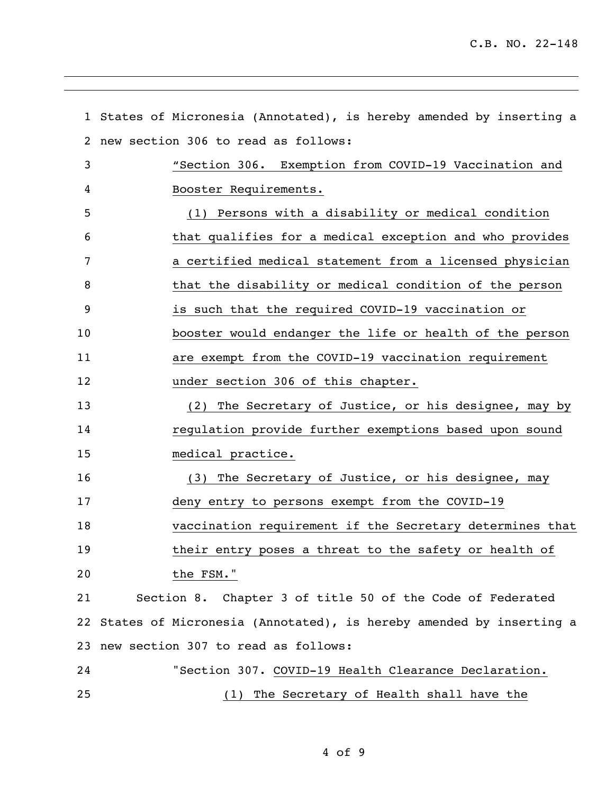|    | 1 States of Micronesia (Annotated), is hereby amended by inserting a |  |  |  |
|----|----------------------------------------------------------------------|--|--|--|
| 2  | new section 306 to read as follows:                                  |  |  |  |
| 3  | "Section 306. Exemption from COVID-19 Vaccination and                |  |  |  |
| 4  | Booster Requirements.                                                |  |  |  |
| 5  | (1) Persons with a disability or medical condition                   |  |  |  |
| 6  | that qualifies for a medical exception and who provides              |  |  |  |
| 7  | a certified medical statement from a licensed physician              |  |  |  |
| 8  | that the disability or medical condition of the person               |  |  |  |
| 9  | is such that the required COVID-19 vaccination or                    |  |  |  |
| 10 | booster would endanger the life or health of the person              |  |  |  |
| 11 | are exempt from the COVID-19 vaccination requirement                 |  |  |  |
| 12 | under section 306 of this chapter.                                   |  |  |  |
| 13 | (2) The Secretary of Justice, or his designee, may by                |  |  |  |
| 14 | regulation provide further exemptions based upon sound               |  |  |  |
| 15 | medical practice.                                                    |  |  |  |
| 16 | (3) The Secretary of Justice, or his designee, may                   |  |  |  |
| 17 | deny entry to persons exempt from the COVID-19                       |  |  |  |
| 18 | vaccination requirement if the Secretary determines that             |  |  |  |
| 19 | their entry poses a threat to the safety or health of                |  |  |  |
| 20 | the FSM."                                                            |  |  |  |
| 21 | Section 8. Chapter 3 of title 50 of the Code of Federated            |  |  |  |
| 22 | States of Micronesia (Annotated), is hereby amended by inserting a   |  |  |  |
|    | 23 new section 307 to read as follows:                               |  |  |  |
| 24 | "Section 307. COVID-19 Health Clearance Declaration.                 |  |  |  |
| 25 | The Secretary of Health shall have the<br>(1)                        |  |  |  |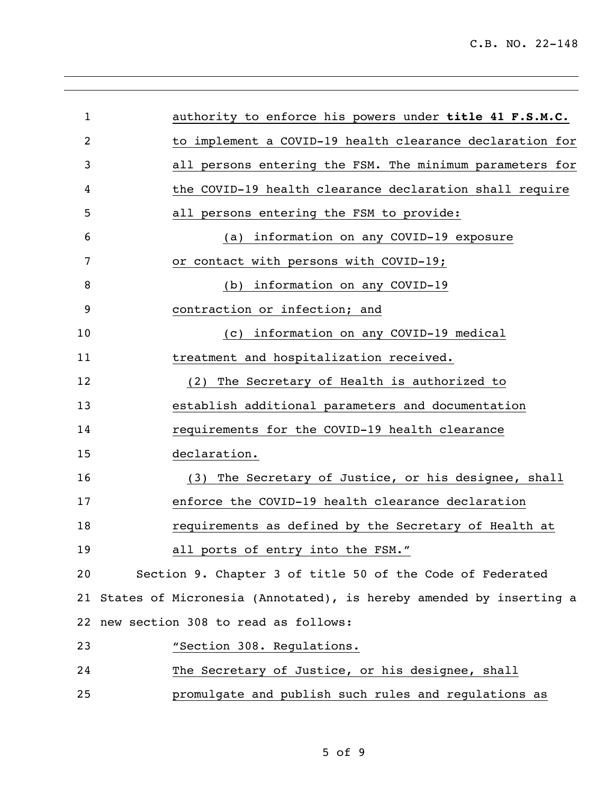| $\mathbf{1}$ | authority to enforce his powers under title 41 F.S.M.C.               |  |  |
|--------------|-----------------------------------------------------------------------|--|--|
| 2            | to implement a COVID-19 health clearance declaration for              |  |  |
| 3            | all persons entering the FSM. The minimum parameters for              |  |  |
| 4            | the COVID-19 health clearance declaration shall require               |  |  |
| 5            | all persons entering the FSM to provide:                              |  |  |
| 6            | information on any COVID-19 exposure<br>(a)                           |  |  |
| 7            | or contact with persons with COVID-19;                                |  |  |
| 8            | information on any COVID-19<br>(b)                                    |  |  |
| 9            | contraction or infection; and                                         |  |  |
| 10           | information on any COVID-19 medical<br>(C)                            |  |  |
| 11           | treatment and hospitalization received.                               |  |  |
| 12           | The Secretary of Health is authorized to<br>(2)                       |  |  |
| 13           | establish additional parameters and documentation                     |  |  |
| 14           | requirements for the COVID-19 health clearance                        |  |  |
| 15           | declaration.                                                          |  |  |
| 16           | (3) The Secretary of Justice, or his designee, shall                  |  |  |
| 17           | enforce the COVID-19 health clearance declaration                     |  |  |
| 18           | requirements as defined by the Secretary of Health at                 |  |  |
| 19           | all ports of entry into the FSM."                                     |  |  |
| 20           | Section 9. Chapter 3 of title 50 of the Code of Federated             |  |  |
|              | 21 States of Micronesia (Annotated), is hereby amended by inserting a |  |  |
|              | 22 new section 308 to read as follows:                                |  |  |
| 23           | "Section 308. Regulations.                                            |  |  |
| 24           | The Secretary of Justice, or his designee, shall                      |  |  |
| 25           | promulgate and publish such rules and regulations as                  |  |  |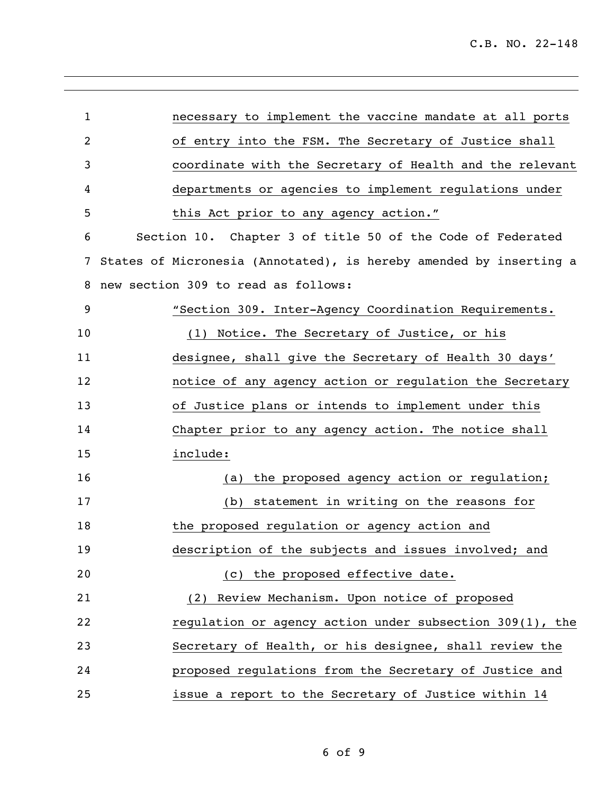| $\mathbf{1}$   | necessary to implement the vaccine mandate at all ports            |  |  |  |
|----------------|--------------------------------------------------------------------|--|--|--|
| $\overline{2}$ | of entry into the FSM. The Secretary of Justice shall              |  |  |  |
| 3              | coordinate with the Secretary of Health and the relevant           |  |  |  |
| 4              | departments or agencies to implement regulations under             |  |  |  |
| 5              | this Act prior to any agency action."                              |  |  |  |
| 6              | Section 10. Chapter 3 of title 50 of the Code of Federated         |  |  |  |
| 7              | States of Micronesia (Annotated), is hereby amended by inserting a |  |  |  |
| 8              | new section 309 to read as follows:                                |  |  |  |
| 9              | "Section 309. Inter-Agency Coordination Requirements.              |  |  |  |
| 10             | (1) Notice. The Secretary of Justice, or his                       |  |  |  |
| 11             | designee, shall give the Secretary of Health 30 days'              |  |  |  |
| 12             | notice of any agency action or regulation the Secretary            |  |  |  |
| 13             | of Justice plans or intends to implement under this                |  |  |  |
| 14             | Chapter prior to any agency action. The notice shall               |  |  |  |
| 15             | include:                                                           |  |  |  |
| 16             | (a) the proposed agency action or regulation;                      |  |  |  |
| 17             | (b) statement in writing on the reasons for                        |  |  |  |
| 18             | the proposed regulation or agency action and                       |  |  |  |
| 19             | description of the subjects and issues involved; and               |  |  |  |
| 20             | (c) the proposed effective date.                                   |  |  |  |
| 21             | (2) Review Mechanism. Upon notice of proposed                      |  |  |  |
| 22             | regulation or agency action under subsection 309(1), the           |  |  |  |
| 23             | Secretary of Health, or his designee, shall review the             |  |  |  |
| 24             | proposed regulations from the Secretary of Justice and             |  |  |  |
| 25             | issue a report to the Secretary of Justice within 14               |  |  |  |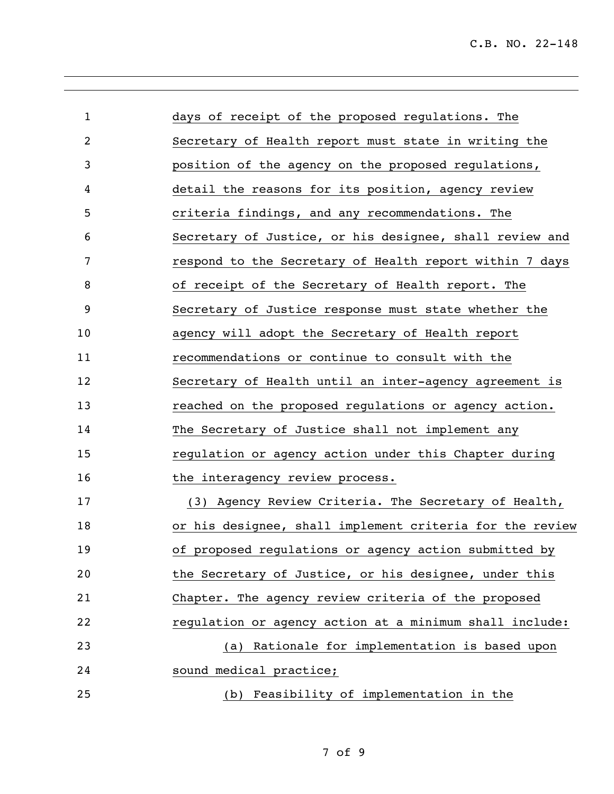| $\mathbf{1}$ | days of receipt of the proposed regulations. The         |  |
|--------------|----------------------------------------------------------|--|
| 2            | Secretary of Health report must state in writing the     |  |
| 3            | position of the agency on the proposed regulations,      |  |
| 4            | detail the reasons for its position, agency review       |  |
| 5            | criteria findings, and any recommendations. The          |  |
| 6            | Secretary of Justice, or his designee, shall review and  |  |
| 7            | respond to the Secretary of Health report within 7 days  |  |
| 8            | of receipt of the Secretary of Health report. The        |  |
| 9            | Secretary of Justice response must state whether the     |  |
| 10           | agency will adopt the Secretary of Health report         |  |
| 11           | recommendations or continue to consult with the          |  |
| 12           | Secretary of Health until an inter-agency agreement is   |  |
| 13           | reached on the proposed regulations or agency action.    |  |
| 14           | The Secretary of Justice shall not implement any         |  |
| 15           | regulation or agency action under this Chapter during    |  |
| 16           | the interagency review process.                          |  |
| 17           | (3) Agency Review Criteria. The Secretary of Health,     |  |
| 18           | or his designee, shall implement criteria for the review |  |
| 19           | of proposed regulations or agency action submitted by    |  |
| 20           | the Secretary of Justice, or his designee, under this    |  |
| 21           | Chapter. The agency review criteria of the proposed      |  |
| 22           | regulation or agency action at a minimum shall include:  |  |
| 23           | Rationale for implementation is based upon<br>(a)        |  |
| 24           | sound medical practice;                                  |  |
| 25           | (b) Feasibility of implementation in the                 |  |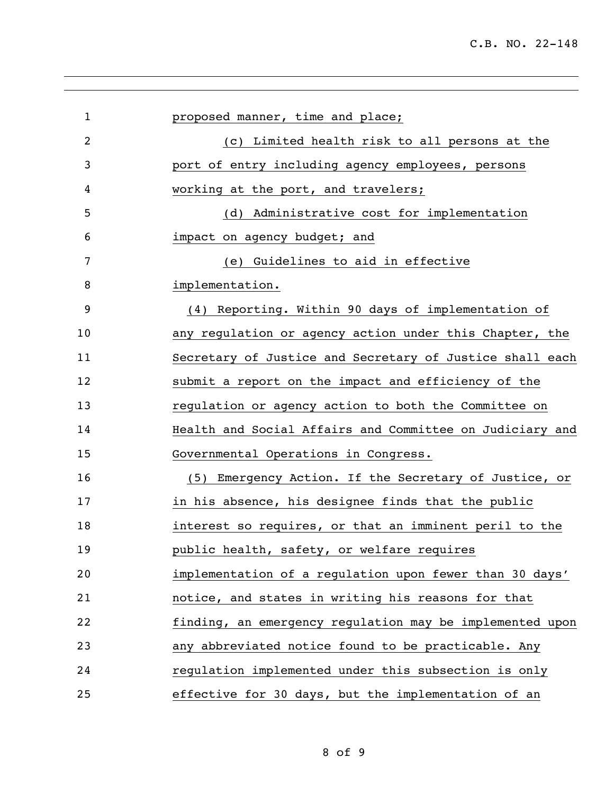| $\mathbf{1}$   | proposed manner, time and place;                         |  |  |
|----------------|----------------------------------------------------------|--|--|
| $\overline{2}$ | (c) Limited health risk to all persons at the            |  |  |
| 3              | port of entry including agency employees, persons        |  |  |
| 4              | working at the port, and travelers;                      |  |  |
| 5              | (d) Administrative cost for implementation               |  |  |
| 6              | impact on agency budget; and                             |  |  |
| 7              | (e) Guidelines to aid in effective                       |  |  |
| 8              | implementation.                                          |  |  |
| 9              | (4) Reporting. Within 90 days of implementation of       |  |  |
| 10             | any regulation or agency action under this Chapter, the  |  |  |
| 11             | Secretary of Justice and Secretary of Justice shall each |  |  |
| 12             | submit a report on the impact and efficiency of the      |  |  |
| 13             | regulation or agency action to both the Committee on     |  |  |
| 14             | Health and Social Affairs and Committee on Judiciary and |  |  |
| 15             | Governmental Operations in Congress.                     |  |  |
| 16             | (5) Emergency Action. If the Secretary of Justice, or    |  |  |
| 17             | in his absence, his designee finds that the public       |  |  |
| 18             | interest so requires, or that an imminent peril to the   |  |  |
| 19             | public health, safety, or welfare requires               |  |  |
| 20             | implementation of a regulation upon fewer than 30 days'  |  |  |
| 21             | notice, and states in writing his reasons for that       |  |  |
| 22             | finding, an emergency regulation may be implemented upon |  |  |
| 23             | any abbreviated notice found to be practicable. Any      |  |  |
| 24             | regulation implemented under this subsection is only     |  |  |
| 25             | effective for 30 days, but the implementation of an      |  |  |